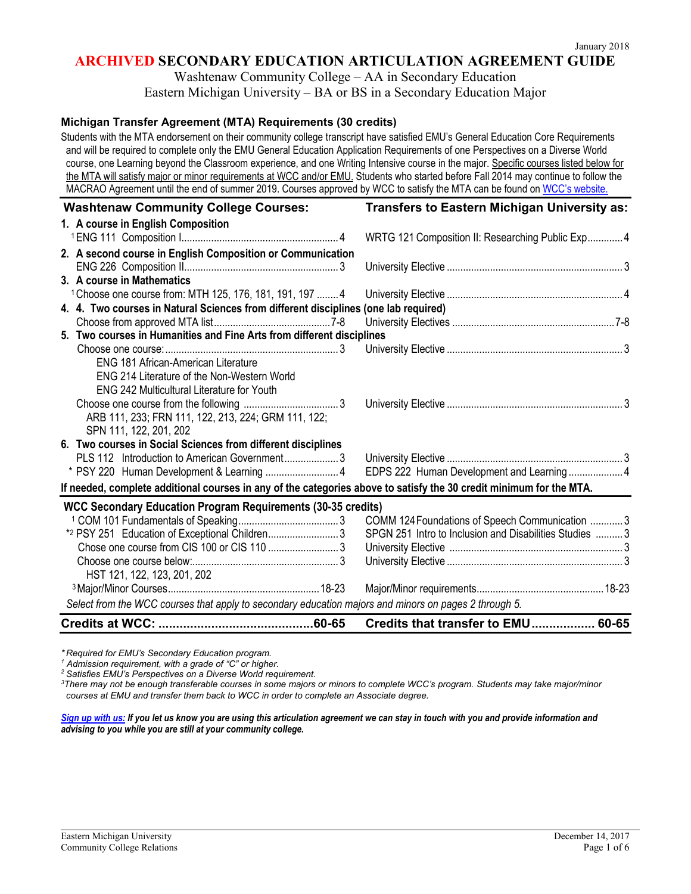Washtenaw Community College – AA in Secondary Education Eastern Michigan University – BA or BS in a Secondary Education Major

### **Michigan Transfer Agreement (MTA) Requirements (30 credits)**

Students with the MTA endorsement on their community college transcript have satisfied EMU's General Education Core Requirements and will be required to complete only the EMU General Education Application Requirements of one Perspectives on a Diverse World course, one Learning beyond the Classroom experience, and one Writing Intensive course in the major. Specific courses listed below for the MTA will satisfy major or minor requirements at WCC and/or EMU. Students who started before Fall 2014 may continue to follow the MACRAO Agreement until the end of summer 2019. Courses approved by WCC to satisfy the MTA can be found on [WCC's website.](http://www.wccnet.edu/services/transferresources/mta/)

| <b>Washtenaw Community College Courses:</b>                                                                         | Transfers to Eastern Michigan University as:            |  |
|---------------------------------------------------------------------------------------------------------------------|---------------------------------------------------------|--|
| 1. A course in English Composition                                                                                  |                                                         |  |
|                                                                                                                     | WRTG 121 Composition II: Researching Public Exp 4       |  |
| 2. A second course in English Composition or Communication                                                          |                                                         |  |
|                                                                                                                     |                                                         |  |
| 3. A course in Mathematics                                                                                          |                                                         |  |
| <sup>1</sup> Choose one course from: MTH 125, 176, 181, 191, 197  4                                                 |                                                         |  |
| 4. 4. Two courses in Natural Sciences from different disciplines (one lab required)                                 |                                                         |  |
|                                                                                                                     |                                                         |  |
| 5. Two courses in Humanities and Fine Arts from different disciplines                                               |                                                         |  |
|                                                                                                                     |                                                         |  |
| <b>ENG 181 African-American Literature</b>                                                                          |                                                         |  |
| ENG 214 Literature of the Non-Western World                                                                         |                                                         |  |
| <b>ENG 242 Multicultural Literature for Youth</b>                                                                   |                                                         |  |
|                                                                                                                     |                                                         |  |
| ARB 111, 233; FRN 111, 122, 213, 224; GRM 111, 122;                                                                 |                                                         |  |
| SPN 111, 122, 201, 202                                                                                              |                                                         |  |
| 6. Two courses in Social Sciences from different disciplines                                                        |                                                         |  |
| PLS 112 Introduction to American Government3                                                                        |                                                         |  |
|                                                                                                                     |                                                         |  |
| If needed, complete additional courses in any of the categories above to satisfy the 30 credit minimum for the MTA. |                                                         |  |
| <b>WCC Secondary Education Program Requirements (30-35 credits)</b>                                                 |                                                         |  |
|                                                                                                                     | COMM 124 Foundations of Speech Communication 3          |  |
| *2 PSY 251 Education of Exceptional Children 3                                                                      | SPGN 251 Intro to Inclusion and Disabilities Studies  3 |  |
| Chose one course from CIS 100 or CIS 110 3                                                                          |                                                         |  |
|                                                                                                                     |                                                         |  |
| HST 121, 122, 123, 201, 202                                                                                         |                                                         |  |
|                                                                                                                     |                                                         |  |
| Select from the WCC courses that apply to secondary education majors and minors on pages 2 through 5.               |                                                         |  |
|                                                                                                                     | Credits that transfer to EMU 60-65                      |  |

*\* Required for EMU's Secondary Education program.* 

*<sup>1</sup> Admission requirement, with a grade of "C" or higher.*

*<sup>2</sup> Satisfies EMU's Perspectives on a Diverse World requirement.*

*3 There may not be enough transferable courses in some majors or minors to complete WCC's program. Students may take major/minor courses at EMU and transfer them back to WCC in order to complete an Associate degree.*

#### *[Sign up with us:](http://www.emich.edu/ccr/articulation-agreements/signup.php) If you let us know you are using this articulation agreement we can stay in touch with you and provide information and advising to you while you are still at your community college.*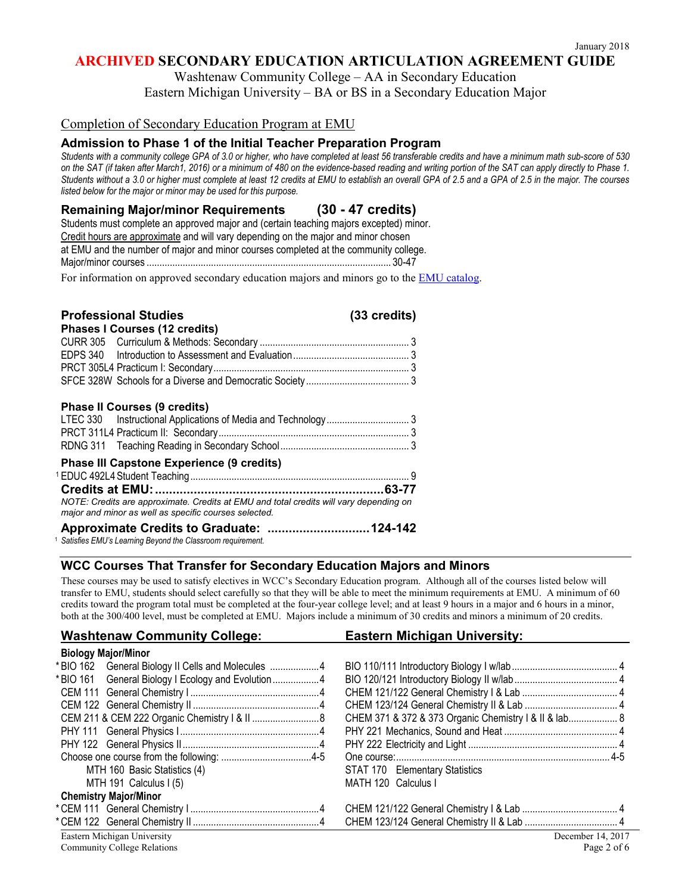Washtenaw Community College – AA in Secondary Education

Eastern Michigan University – BA or BS in a Secondary Education Major

### Completion of Secondary Education Program at EMU

# **Admission to Phase 1 of the Initial Teacher Preparation Program**

*Students with a community college GPA of 3.0 or higher, who have completed at least 56 transferable credits and have a minimum math sub-score of 530 on the SAT (if taken after March1, 2016) or a minimum of 480 on the evidence-based reading and writing portion of the SAT can apply directly to Phase 1. Students without a 3.0 or higher must complete at least 12 credits at EMU to establish an overall GPA of 2.5 and a GPA of 2.5 in the major. The courses listed below for the major or minor may be used for this purpose.* 

### **Remaining Major/minor Requirements (30 - 47 credits)**

| Students must complete an approved major and (certain teaching majors excepted) minor. |  |
|----------------------------------------------------------------------------------------|--|
| Credit hours are approximate and will vary depending on the major and minor chosen     |  |
| at EMU and the number of major and minor courses completed at the community college.   |  |
|                                                                                        |  |
|                                                                                        |  |

For information on approved secondary education majors and minors go to the **EMU** catalog.

| <b>Professional Studies</b><br><b>Phases I Courses (12 credits)</b>                                                                             | (33 credits) |
|-------------------------------------------------------------------------------------------------------------------------------------------------|--------------|
|                                                                                                                                                 |              |
|                                                                                                                                                 |              |
|                                                                                                                                                 |              |
| <b>Phase II Courses (9 credits)</b>                                                                                                             |              |
|                                                                                                                                                 |              |
|                                                                                                                                                 |              |
|                                                                                                                                                 |              |
| <b>Phase III Capstone Experience (9 credits)</b>                                                                                                |              |
|                                                                                                                                                 |              |
|                                                                                                                                                 |              |
| NOTE: Credits are approximate. Credits at EMU and total credits will vary depending on<br>major and minor as well as specific courses selected. |              |
| Approximate Credits to Graduate:  124-142<br>Satisfies EMU's Learning Beyond the Classroom requirement.                                         |              |

### **WCC Courses That Transfer for Secondary Education Majors and Minors**

These courses may be used to satisfy electives in WCC's Secondary Education program. Although all of the courses listed below will transfer to EMU, students should select carefully so that they will be able to meet the minimum requirements at EMU. A minimum of 60 credits toward the program total must be completed at the four-year college level; and at least 9 hours in a major and 6 hours in a minor, both at the 300/400 level, must be completed at EMU. Majors include a minimum of 30 credits and minors a minimum of 20 credits.

| <b>Washtenaw Community College:</b>                | Eastern Michigan University:                          |  |  |  |  |
|----------------------------------------------------|-------------------------------------------------------|--|--|--|--|
| <b>Biology Major/Minor</b>                         |                                                       |  |  |  |  |
| *BIO 162 General Biology II Cells and Molecules 4  |                                                       |  |  |  |  |
| *BIO 161 General Biology I Ecology and Evolution 4 |                                                       |  |  |  |  |
|                                                    |                                                       |  |  |  |  |
|                                                    |                                                       |  |  |  |  |
|                                                    | CHEM 371 & 372 & 373 Organic Chemistry   &    &  ab 8 |  |  |  |  |
|                                                    |                                                       |  |  |  |  |
|                                                    |                                                       |  |  |  |  |
|                                                    |                                                       |  |  |  |  |
| MTH 160 Basic Statistics (4)                       | STAT 170 Elementary Statistics                        |  |  |  |  |
| MTH 191 Calculus I (5)                             | MATH 120 Calculus I                                   |  |  |  |  |
| <b>Chemistry Major/Minor</b>                       |                                                       |  |  |  |  |
|                                                    |                                                       |  |  |  |  |
|                                                    |                                                       |  |  |  |  |
| Eastern Michigan University                        | December 14, 2017                                     |  |  |  |  |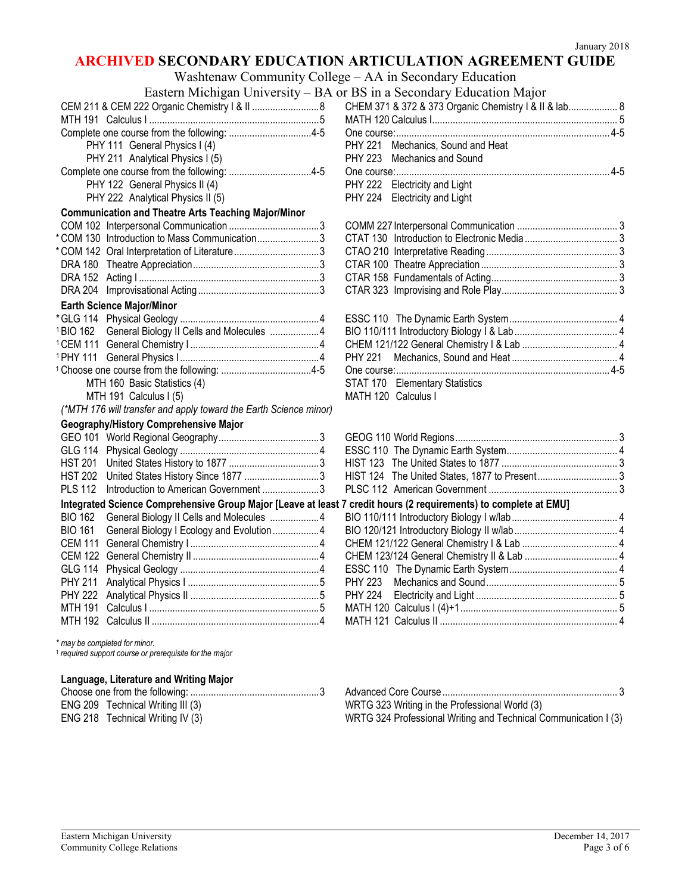Washtenaw Community College – AA in Secondary Education

|                                                                                                                  | Eastern Michigan University – BA or BS in a Secondary Education Major |  |
|------------------------------------------------------------------------------------------------------------------|-----------------------------------------------------------------------|--|
| CEM 211 & CEM 222 Organic Chemistry   &     8                                                                    | CHEM 371 & 372 & 373 Organic Chemistry   &    &  ab 8                 |  |
|                                                                                                                  |                                                                       |  |
|                                                                                                                  |                                                                       |  |
| PHY 111 General Physics I (4)                                                                                    | Mechanics, Sound and Heat<br><b>PHY 221</b>                           |  |
| PHY 211 Analytical Physics I (5)                                                                                 | <b>PHY 223</b><br><b>Mechanics and Sound</b>                          |  |
|                                                                                                                  |                                                                       |  |
| PHY 122 General Physics II (4)                                                                                   | PHY 222 Electricity and Light                                         |  |
| PHY 222 Analytical Physics II (5)                                                                                | PHY 224 Electricity and Light                                         |  |
| <b>Communication and Theatre Arts Teaching Major/Minor</b>                                                       |                                                                       |  |
|                                                                                                                  |                                                                       |  |
| *COM 130 Introduction to Mass Communication3                                                                     |                                                                       |  |
| *COM 142 Oral Interpretation of Literature3                                                                      |                                                                       |  |
|                                                                                                                  |                                                                       |  |
|                                                                                                                  |                                                                       |  |
|                                                                                                                  |                                                                       |  |
| <b>Earth Science Major/Minor</b>                                                                                 |                                                                       |  |
|                                                                                                                  |                                                                       |  |
| <sup>1</sup> BIO 162 General Biology II Cells and Molecules 4                                                    |                                                                       |  |
|                                                                                                                  |                                                                       |  |
|                                                                                                                  | PHY 221                                                               |  |
|                                                                                                                  |                                                                       |  |
| MTH 160 Basic Statistics (4)                                                                                     | STAT 170 Elementary Statistics                                        |  |
| MTH 191 Calculus I (5)                                                                                           | MATH 120 Calculus I                                                   |  |
| (*MTH 176 will transfer and apply toward the Earth Science minor)                                                |                                                                       |  |
| Geography/History Comprehensive Major                                                                            |                                                                       |  |
|                                                                                                                  |                                                                       |  |
|                                                                                                                  |                                                                       |  |
|                                                                                                                  |                                                                       |  |
| HST 202 United States History Since 1877 3                                                                       |                                                                       |  |
| <b>PLS 112</b><br>Introduction to American Government 3                                                          |                                                                       |  |
| Integrated Science Comprehensive Group Major [Leave at least 7 credit hours (2 requirements) to complete at EMU] |                                                                       |  |
| <b>BIO 162</b><br>General Biology II Cells and Molecules 4                                                       |                                                                       |  |
| General Biology I Ecology and Evolution4<br><b>BIO 161</b>                                                       |                                                                       |  |
| <b>CEM 111</b>                                                                                                   |                                                                       |  |
|                                                                                                                  |                                                                       |  |
| <b>GLG 114</b>                                                                                                   |                                                                       |  |
| <b>PHY 211</b>                                                                                                   | PHY 223                                                               |  |
|                                                                                                                  |                                                                       |  |
| <b>MTH 191</b>                                                                                                   |                                                                       |  |
|                                                                                                                  |                                                                       |  |
|                                                                                                                  |                                                                       |  |

| BS in a Secondary Education Major                     |  |
|-------------------------------------------------------|--|
| CHEM 371 & 372 & 373 Organic Chemistry I & II & lab 8 |  |
|                                                       |  |
|                                                       |  |
| PHY 221 Mechanics, Sound and Heat                     |  |
| PHY 223 Mechanics and Sound                           |  |
|                                                       |  |
| PHY 222 Electricity and Light                         |  |
| PHY 224 Electricity and Light                         |  |

| STAT 170 Elementary Statistics |  |
|--------------------------------|--|
|                                |  |

| HIST 124 The United States, 1877 to Present 3 |  |
|-----------------------------------------------|--|
|                                               |  |

### **Credit hours (2 requirements) to complete at FMU]**

|  | $\sim$ 0.000, 1.000 (E requiremently) to complete at Empl |  |
|--|-----------------------------------------------------------|--|
|  |                                                           |  |
|  |                                                           |  |
|  |                                                           |  |
|  |                                                           |  |
|  |                                                           |  |
|  |                                                           |  |
|  |                                                           |  |
|  |                                                           |  |
|  |                                                           |  |
|  |                                                           |  |

*\* may be completed for minor.*

<sup>1</sup> *required support course or prerequisite for the major*

### **Language, Literature and Writing Major**

| ENG 209 Technical Writing III (3) | WRTG 323 Writing in the Professional World (3)                  |
|-----------------------------------|-----------------------------------------------------------------|
| ENG 218 Technical Writing IV (3)  | WRTG 324 Professional Writing and Technical Communication I (3) |

| ENG 209 Technical Writing III (3) | WRTG 323 Writing in the Professional World (3)                  |
|-----------------------------------|-----------------------------------------------------------------|
| ENG 218 Technical Writing IV (3)  | WRTG 324 Professional Writing and Technical Communication I (3) |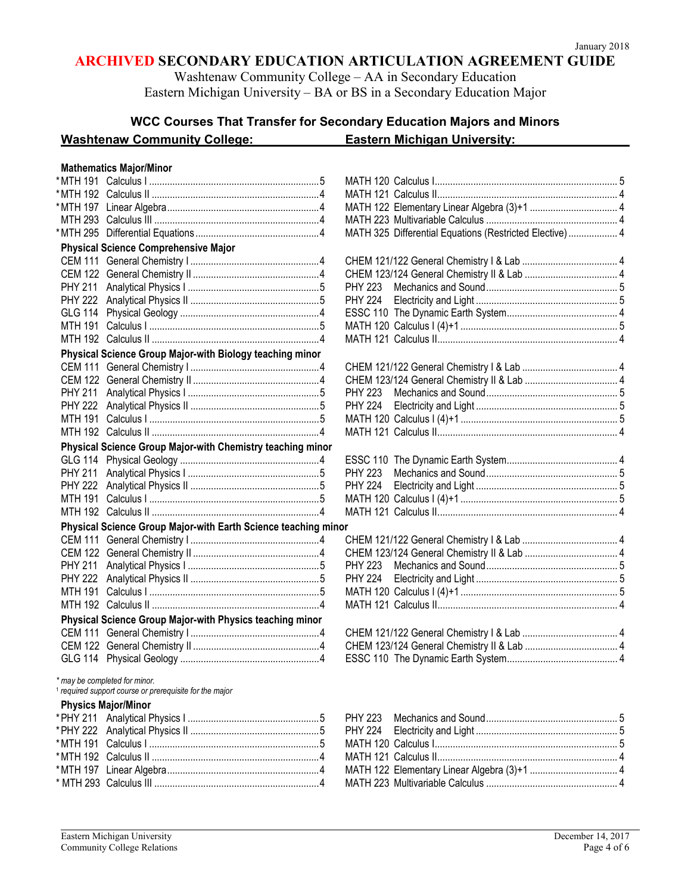Washtenaw Community College – AA in Secondary Education Eastern Michigan University – BA or BS in a Secondary Education Major

# **WCC Courses That Transfer for Secondary Education Majors and Minors**

# Washtenaw Community College: Eastern Michigan University:

# **Mathematics Major/Minor**

| *MTH 191       |                                                                                                     |   | ľ |
|----------------|-----------------------------------------------------------------------------------------------------|---|---|
| *MTH 192       |                                                                                                     |   | ľ |
| *MTH 197       |                                                                                                     |   | ľ |
| <b>MTH 293</b> |                                                                                                     |   | ľ |
| *MTH 295       |                                                                                                     |   | ľ |
|                | <b>Physical Science Comprehensive Major</b>                                                         |   |   |
| <b>CEM 111</b> |                                                                                                     |   |   |
| <b>CEM 122</b> |                                                                                                     |   |   |
| <b>PHY 211</b> |                                                                                                     |   | ľ |
| <b>PHY 222</b> |                                                                                                     |   |   |
| <b>GLG 114</b> |                                                                                                     |   |   |
| <b>MTH 191</b> |                                                                                                     |   | ľ |
| <b>MTH 192</b> |                                                                                                     |   | ľ |
|                | Physical Science Group Major-with Biology teaching minor                                            |   |   |
| <b>CEM 111</b> |                                                                                                     |   |   |
| <b>CEM 122</b> |                                                                                                     |   |   |
| <b>PHY 211</b> |                                                                                                     |   |   |
| <b>PHY 222</b> |                                                                                                     |   |   |
| <b>MTH 191</b> |                                                                                                     |   |   |
| <b>MTH 192</b> |                                                                                                     |   | ľ |
|                | Physical Science Group Major-with Chemistry teaching minor                                          |   |   |
| <b>GLG 114</b> |                                                                                                     |   | E |
| <b>PHY 211</b> |                                                                                                     |   | I |
| <b>PHY 222</b> |                                                                                                     |   | ľ |
| <b>MTH 191</b> |                                                                                                     |   |   |
| <b>MTH 192</b> |                                                                                                     |   | ľ |
|                | Physical Science Group Major-with Earth Science teaching minor                                      |   |   |
| <b>CEM 111</b> |                                                                                                     |   |   |
| <b>CEM 122</b> |                                                                                                     |   |   |
| <b>PHY 211</b> |                                                                                                     |   | F |
| <b>PHY 222</b> |                                                                                                     |   |   |
| <b>MTH 191</b> |                                                                                                     |   |   |
| <b>MTH 192</b> |                                                                                                     |   |   |
|                | Physical Science Group Major-with Physics teaching minor                                            |   |   |
|                |                                                                                                     |   |   |
| CEM 122        |                                                                                                     |   |   |
| <b>GLG 114</b> |                                                                                                     |   |   |
|                | * may be completed for minor.<br><sup>1</sup> required support course or prerequisite for the major |   |   |
|                | <b>Physics Major/Minor</b>                                                                          |   |   |
|                |                                                                                                     |   | F |
| * PHY 222      |                                                                                                     |   |   |
| *MTH 191       |                                                                                                     |   |   |
|                |                                                                                                     |   |   |
|                |                                                                                                     | 4 |   |

|                | <b>Mathematics Major/Minor</b>                                                                    |                                                          |  |
|----------------|---------------------------------------------------------------------------------------------------|----------------------------------------------------------|--|
|                |                                                                                                   |                                                          |  |
|                |                                                                                                   |                                                          |  |
|                |                                                                                                   |                                                          |  |
|                |                                                                                                   |                                                          |  |
|                |                                                                                                   | MATH 325 Differential Equations (Restricted Elective)  4 |  |
|                | <b>Physical Science Comprehensive Major</b>                                                       |                                                          |  |
|                |                                                                                                   |                                                          |  |
|                |                                                                                                   |                                                          |  |
| PHY 211        |                                                                                                   | <b>PHY 223</b>                                           |  |
|                |                                                                                                   | <b>PHY 224</b>                                           |  |
|                |                                                                                                   |                                                          |  |
|                |                                                                                                   |                                                          |  |
|                |                                                                                                   |                                                          |  |
|                | Physical Science Group Major-with Biology teaching minor                                          |                                                          |  |
|                |                                                                                                   |                                                          |  |
|                |                                                                                                   |                                                          |  |
| <b>PHY 211</b> |                                                                                                   | <b>PHY 223</b>                                           |  |
|                |                                                                                                   | <b>PHY 224</b>                                           |  |
|                |                                                                                                   |                                                          |  |
|                |                                                                                                   |                                                          |  |
|                | Physical Science Group Major-with Chemistry teaching minor                                        |                                                          |  |
|                |                                                                                                   |                                                          |  |
| <b>PHY 211</b> |                                                                                                   | <b>PHY 223</b>                                           |  |
|                |                                                                                                   | <b>PHY 224</b>                                           |  |
|                |                                                                                                   |                                                          |  |
|                |                                                                                                   |                                                          |  |
|                | Physical Science Group Major-with Earth Science teaching minor                                    |                                                          |  |
|                |                                                                                                   |                                                          |  |
|                |                                                                                                   |                                                          |  |
| <b>PHY 211</b> |                                                                                                   | <b>PHY 223</b>                                           |  |
|                |                                                                                                   | <b>PHY 224</b>                                           |  |
|                |                                                                                                   |                                                          |  |
|                |                                                                                                   |                                                          |  |
|                | Physical Science Group Major-with Physics teaching minor                                          |                                                          |  |
|                |                                                                                                   |                                                          |  |
|                |                                                                                                   |                                                          |  |
|                |                                                                                                   |                                                          |  |
|                | may be completed for minor.<br><sup>1</sup> required support course or prerequisite for the major |                                                          |  |

|  |  | *PHY 211 Analytical Physics I …………………………………………5  PHY 223  Mechanics and Sound……………………………………………5                 |  |
|--|--|-----------------------------------------------------------------------------------------------------------------|--|
|  |  |                                                                                                                 |  |
|  |  |                                                                                                                 |  |
|  |  | * MTH 192   Calculus II ………………………………………………………4       MATH 121  Calculus II…………………………………………………………………… 4          |  |
|  |  |                                                                                                                 |  |
|  |  | * MTH 293   Calculus III ………………………………………………………4        MATH 223  Multivariable Calculus …………………………………………………………4 |  |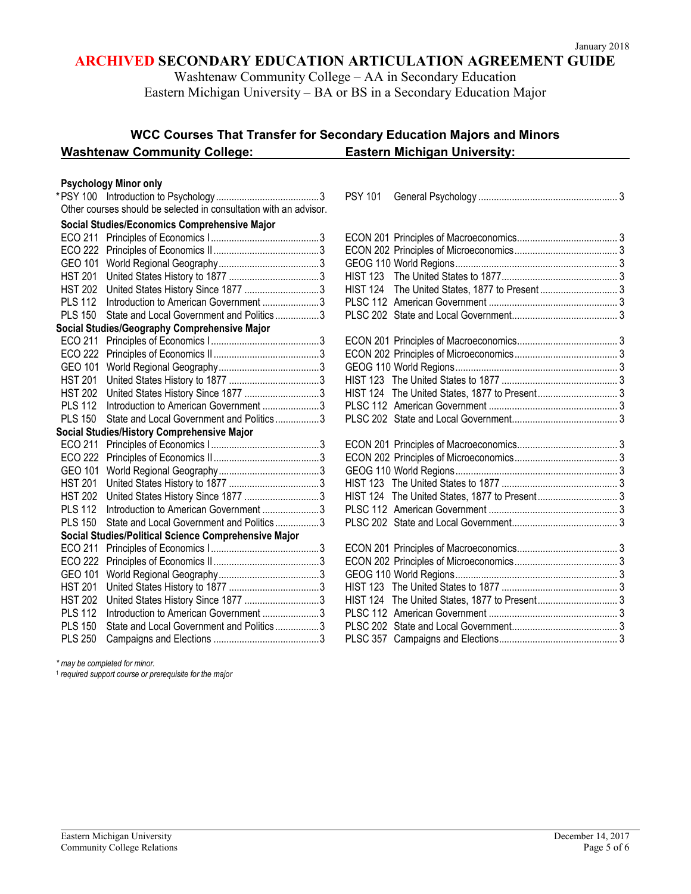Washtenaw Community College – AA in Secondary Education

Eastern Michigan University – BA or BS in a Secondary Education Major

# **WCC Courses That Transfer for Secondary Education Majors and Minors Washtenaw Community College: Eastern Michigan University:**

### **Psychology Minor only**

|                |                                                                   | <b>PSY 101</b> |  |
|----------------|-------------------------------------------------------------------|----------------|--|
|                | Other courses should be selected in consultation with an advisor. |                |  |
|                | Social Studies/Economics Comprehensive Major                      |                |  |
|                |                                                                   |                |  |
|                |                                                                   |                |  |
|                |                                                                   |                |  |
| <b>HST 201</b> |                                                                   |                |  |
| <b>HST 202</b> | United States History Since 1877 3                                |                |  |
| <b>PLS 112</b> | Introduction to American Government 3                             |                |  |
| <b>PLS 150</b> | State and Local Government and Politics3                          |                |  |
|                | Social Studies/Geography Comprehensive Major                      |                |  |
|                |                                                                   |                |  |
|                |                                                                   |                |  |
| GEO 101        |                                                                   |                |  |
| <b>HST 201</b> |                                                                   |                |  |
| <b>HST 202</b> | United States History Since 1877 3                                |                |  |
| <b>PLS 112</b> | Introduction to American Government 3                             |                |  |
| <b>PLS 150</b> | State and Local Government and Politics3                          |                |  |
|                | Social Studies/History Comprehensive Major                        |                |  |
|                |                                                                   |                |  |
|                |                                                                   |                |  |
|                |                                                                   |                |  |
|                |                                                                   |                |  |
| <b>HST 202</b> |                                                                   |                |  |
| <b>PLS 112</b> | Introduction to American Government 3                             |                |  |
| <b>PLS 150</b> | State and Local Government and Politics3                          |                |  |
|                | Social Studies/Political Science Comprehensive Major              |                |  |
|                |                                                                   |                |  |
|                |                                                                   |                |  |
| GEO 101        |                                                                   |                |  |
| <b>HST 201</b> |                                                                   |                |  |
| <b>HST 202</b> | United States History Since 1877 3                                |                |  |
| <b>PLS 112</b> | Introduction to American Government 3                             |                |  |
| <b>PLS 150</b> | State and Local Government and Politics3                          |                |  |
| <b>PLS 250</b> |                                                                   |                |  |

|                | Other courses should be selected in consultation with an advisor. |  |
|----------------|-------------------------------------------------------------------|--|
|                | Social Studies/Economics Comprehensive Major                      |  |
|                |                                                                   |  |
|                |                                                                   |  |
|                |                                                                   |  |
| <b>HST 201</b> |                                                                   |  |
| <b>HST 202</b> | United States History Since 1877 3                                |  |
| <b>PLS 112</b> | Introduction to American Government 3                             |  |
| <b>PLS 150</b> | State and Local Government and Politics3                          |  |
|                | Social Studies/Geography Comprehensive Major                      |  |
|                |                                                                   |  |
|                |                                                                   |  |
| GEO 101        |                                                                   |  |
| <b>HST 201</b> |                                                                   |  |
| <b>HST 202</b> | United States History Since 1877 3                                |  |
| <b>PLS 112</b> | Introduction to American Government 3                             |  |
| <b>PLS 150</b> | State and Local Government and Politics3                          |  |
|                | <b>Social Studies/History Comprehensive Major</b>                 |  |
|                |                                                                   |  |
|                |                                                                   |  |
|                |                                                                   |  |
| <b>HST 201</b> |                                                                   |  |
| <b>HST 202</b> | United States History Since 1877 3                                |  |
| <b>PLS 112</b> | Introduction to American Government3                              |  |
| <b>PLS 150</b> | State and Local Government and Politics3                          |  |
|                | Social Studies/Political Science Comprehensive Major              |  |
|                |                                                                   |  |
|                |                                                                   |  |

*\* may be completed for minor.*

<sup>1</sup> *required support course or prerequisite for the major*